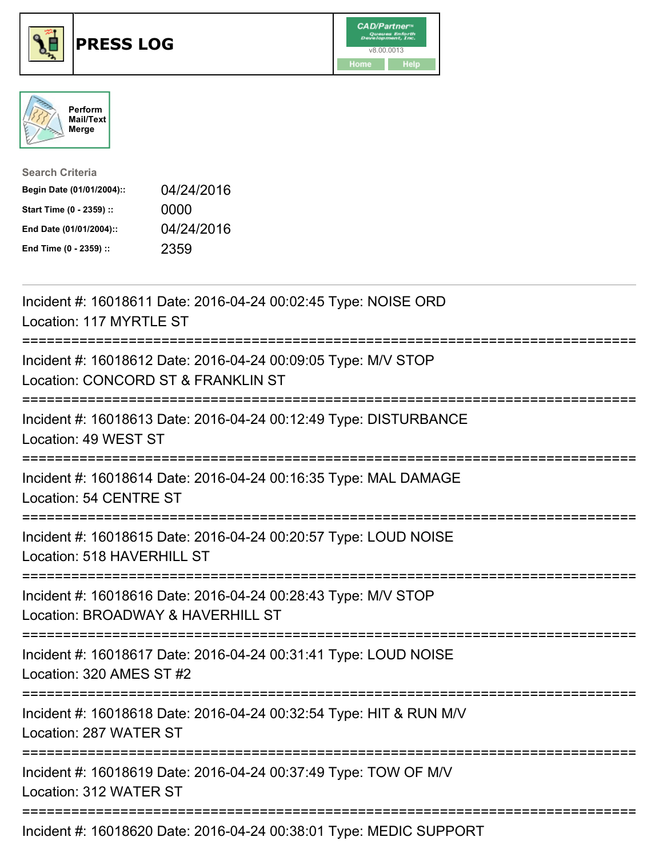





| <b>Search Criteria</b>    |            |
|---------------------------|------------|
| Begin Date (01/01/2004):: | 04/24/2016 |
| Start Time (0 - 2359) ::  | 0000       |
| End Date (01/01/2004)::   | 04/24/2016 |
| End Time (0 - 2359) ::    | 2359       |

| Incident #: 16018611 Date: 2016-04-24 00:02:45 Type: NOISE ORD<br>Location: 117 MYRTLE ST<br>=================                      |
|-------------------------------------------------------------------------------------------------------------------------------------|
| Incident #: 16018612 Date: 2016-04-24 00:09:05 Type: M/V STOP<br>Location: CONCORD ST & FRANKLIN ST                                 |
| Incident #: 16018613 Date: 2016-04-24 00:12:49 Type: DISTURBANCE<br>Location: 49 WEST ST<br>=================                       |
| Incident #: 16018614 Date: 2016-04-24 00:16:35 Type: MAL DAMAGE<br>Location: 54 CENTRE ST                                           |
| Incident #: 16018615 Date: 2016-04-24 00:20:57 Type: LOUD NOISE<br>Location: 518 HAVERHILL ST                                       |
| Incident #: 16018616 Date: 2016-04-24 00:28:43 Type: M/V STOP<br>Location: BROADWAY & HAVERHILL ST<br>;============================ |
| Incident #: 16018617 Date: 2016-04-24 00:31:41 Type: LOUD NOISE<br>Location: 320 AMES ST #2                                         |
| Incident #: 16018618 Date: 2016-04-24 00:32:54 Type: HIT & RUN M/V<br>Location: 287 WATER ST                                        |
| Incident #: 16018619 Date: 2016-04-24 00:37:49 Type: TOW OF M/V<br>Location: 312 WATER ST                                           |
| Incident #: 16018620 Date: 2016-04-24 00:38:01 Type: MEDIC SUPPORT                                                                  |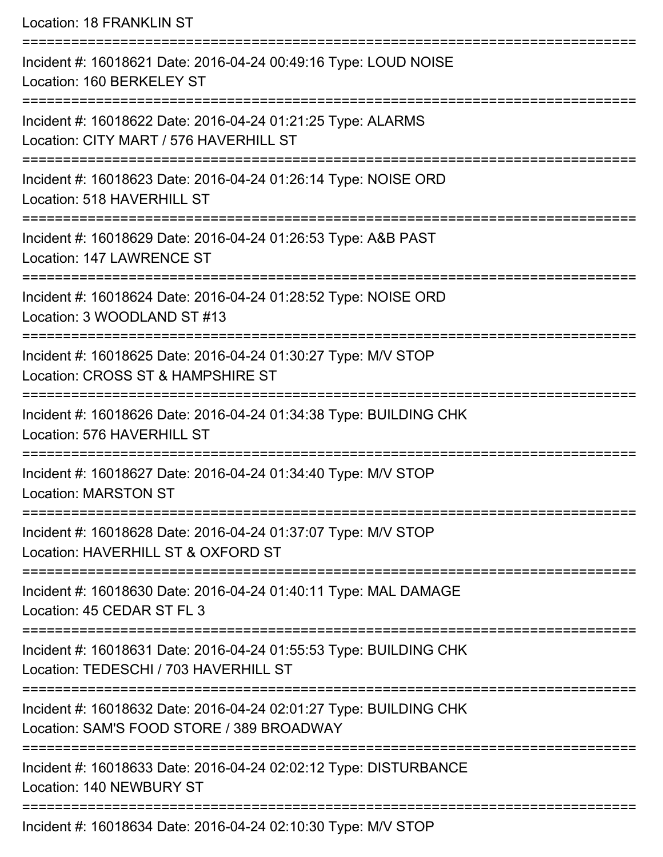Location: 18 FRANKLIN ST =========================================================================== Incident #: 16018621 Date: 2016-04-24 00:49:16 Type: LOUD NOISE Location: 160 BERKELEY ST =========================================================================== Incident #: 16018622 Date: 2016-04-24 01:21:25 Type: ALARMS Location: CITY MART / 576 HAVERHILL ST =========================================================================== Incident #: 16018623 Date: 2016-04-24 01:26:14 Type: NOISE ORD Location: 518 HAVERHILL ST =========================================================================== Incident #: 16018629 Date: 2016-04-24 01:26:53 Type: A&B PAST Location: 147 LAWRENCE ST =========================================================================== Incident #: 16018624 Date: 2016-04-24 01:28:52 Type: NOISE ORD Location: 3 WOODLAND ST #13 =========================================================================== Incident #: 16018625 Date: 2016-04-24 01:30:27 Type: M/V STOP Location: CROSS ST & HAMPSHIRE ST =========================================================================== Incident #: 16018626 Date: 2016-04-24 01:34:38 Type: BUILDING CHK Location: 576 HAVERHILL ST =========================================================================== Incident #: 16018627 Date: 2016-04-24 01:34:40 Type: M/V STOP Location: MARSTON ST =========================================================================== Incident #: 16018628 Date: 2016-04-24 01:37:07 Type: M/V STOP Location: HAVERHILL ST & OXEORD ST =========================================================================== Incident #: 16018630 Date: 2016-04-24 01:40:11 Type: MAL DAMAGE Location: 45 CEDAR ST FL 3 =========================================================================== Incident #: 16018631 Date: 2016-04-24 01:55:53 Type: BUILDING CHK Location: TEDESCHI / 703 HAVERHILL ST =========================================================================== Incident #: 16018632 Date: 2016-04-24 02:01:27 Type: BUILDING CHK Location: SAM'S FOOD STORE / 389 BROADWAY =========================================================================== Incident #: 16018633 Date: 2016-04-24 02:02:12 Type: DISTURBANCE Location: 140 NEWBURY ST ===========================================================================

Incident #: 16018634 Date: 2016-04-24 02:10:30 Type: M/V STOP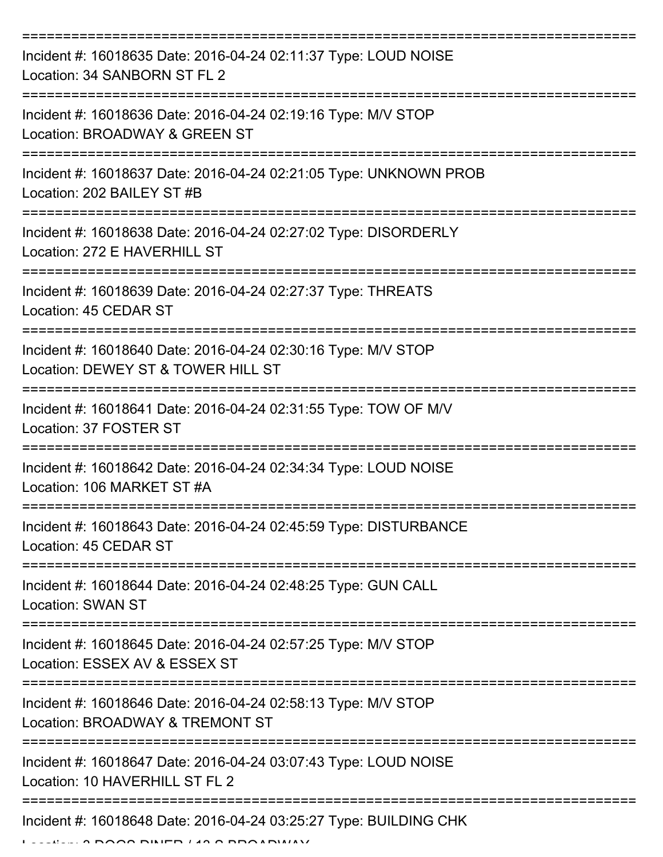| Incident #: 16018635 Date: 2016-04-24 02:11:37 Type: LOUD NOISE<br>Location: 34 SANBORN ST FL 2     |
|-----------------------------------------------------------------------------------------------------|
| Incident #: 16018636 Date: 2016-04-24 02:19:16 Type: M/V STOP<br>Location: BROADWAY & GREEN ST      |
| Incident #: 16018637 Date: 2016-04-24 02:21:05 Type: UNKNOWN PROB<br>Location: 202 BAILEY ST #B     |
| Incident #: 16018638 Date: 2016-04-24 02:27:02 Type: DISORDERLY<br>Location: 272 E HAVERHILL ST     |
| Incident #: 16018639 Date: 2016-04-24 02:27:37 Type: THREATS<br>Location: 45 CEDAR ST               |
| Incident #: 16018640 Date: 2016-04-24 02:30:16 Type: M/V STOP<br>Location: DEWEY ST & TOWER HILL ST |
| Incident #: 16018641 Date: 2016-04-24 02:31:55 Type: TOW OF M/V<br>Location: 37 FOSTER ST           |
| Incident #: 16018642 Date: 2016-04-24 02:34:34 Type: LOUD NOISE<br>Location: 106 MARKET ST #A       |
| Incident #: 16018643 Date: 2016-04-24 02:45:59 Type: DISTURBANCE<br>Location: 45 CEDAR ST           |
| Incident #: 16018644 Date: 2016-04-24 02:48:25 Type: GUN CALL<br><b>Location: SWAN ST</b>           |
| Incident #: 16018645 Date: 2016-04-24 02:57:25 Type: M/V STOP<br>Location: ESSEX AV & ESSEX ST      |
| Incident #: 16018646 Date: 2016-04-24 02:58:13 Type: M/V STOP<br>Location: BROADWAY & TREMONT ST    |
| Incident #: 16018647 Date: 2016-04-24 03:07:43 Type: LOUD NOISE<br>Location: 10 HAVERHILL ST FL 2   |
| Incident #: 16018648 Date: 2016-04-24 03:25:27 Type: BUILDING CHK                                   |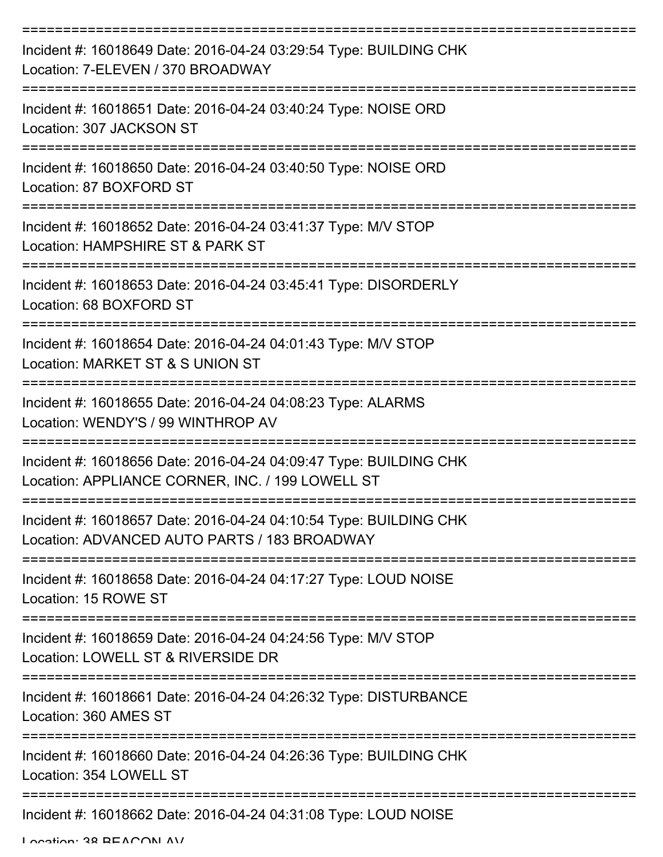| Incident #: 16018649 Date: 2016-04-24 03:29:54 Type: BUILDING CHK<br>Location: 7-ELEVEN / 370 BROADWAY                |
|-----------------------------------------------------------------------------------------------------------------------|
| Incident #: 16018651 Date: 2016-04-24 03:40:24 Type: NOISE ORD<br>Location: 307 JACKSON ST                            |
| Incident #: 16018650 Date: 2016-04-24 03:40:50 Type: NOISE ORD<br>Location: 87 BOXFORD ST                             |
| Incident #: 16018652 Date: 2016-04-24 03:41:37 Type: M/V STOP<br>Location: HAMPSHIRE ST & PARK ST                     |
| Incident #: 16018653 Date: 2016-04-24 03:45:41 Type: DISORDERLY<br>Location: 68 BOXFORD ST                            |
| Incident #: 16018654 Date: 2016-04-24 04:01:43 Type: M/V STOP<br>Location: MARKET ST & S UNION ST                     |
| Incident #: 16018655 Date: 2016-04-24 04:08:23 Type: ALARMS<br>Location: WENDY'S / 99 WINTHROP AV                     |
| Incident #: 16018656 Date: 2016-04-24 04:09:47 Type: BUILDING CHK<br>Location: APPLIANCE CORNER, INC. / 199 LOWELL ST |
| Incident #: 16018657 Date: 2016-04-24 04:10:54 Type: BUILDING CHK<br>Location: ADVANCED AUTO PARTS / 183 BROADWAY     |
| Incident #: 16018658 Date: 2016-04-24 04:17:27 Type: LOUD NOISE<br>Location: 15 ROWE ST                               |
| Incident #: 16018659 Date: 2016-04-24 04:24:56 Type: M/V STOP<br>Location: LOWELL ST & RIVERSIDE DR                   |
| Incident #: 16018661 Date: 2016-04-24 04:26:32 Type: DISTURBANCE<br>Location: 360 AMES ST                             |
| Incident #: 16018660 Date: 2016-04-24 04:26:36 Type: BUILDING CHK<br>Location: 354 LOWELL ST                          |
| Incident #: 16018662 Date: 2016-04-24 04:31:08 Type: LOUD NOISE                                                       |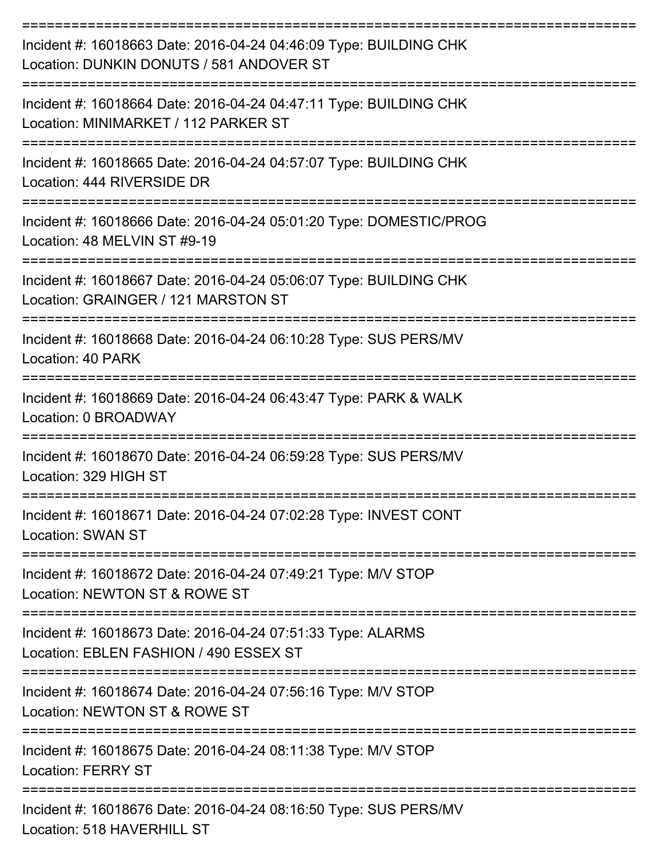| Incident #: 16018663 Date: 2016-04-24 04:46:09 Type: BUILDING CHK<br>Location: DUNKIN DONUTS / 581 ANDOVER ST        |
|----------------------------------------------------------------------------------------------------------------------|
| Incident #: 16018664 Date: 2016-04-24 04:47:11 Type: BUILDING CHK<br>Location: MINIMARKET / 112 PARKER ST            |
| Incident #: 16018665 Date: 2016-04-24 04:57:07 Type: BUILDING CHK<br>Location: 444 RIVERSIDE DR                      |
| Incident #: 16018666 Date: 2016-04-24 05:01:20 Type: DOMESTIC/PROG<br>Location: 48 MELVIN ST #9-19                   |
| Incident #: 16018667 Date: 2016-04-24 05:06:07 Type: BUILDING CHK<br>Location: GRAINGER / 121 MARSTON ST             |
| Incident #: 16018668 Date: 2016-04-24 06:10:28 Type: SUS PERS/MV<br>Location: 40 PARK                                |
| Incident #: 16018669 Date: 2016-04-24 06:43:47 Type: PARK & WALK<br>Location: 0 BROADWAY                             |
| Incident #: 16018670 Date: 2016-04-24 06:59:28 Type: SUS PERS/MV<br>Location: 329 HIGH ST                            |
| Incident #: 16018671 Date: 2016-04-24 07:02:28 Type: INVEST CONT<br><b>Location: SWAN ST</b>                         |
| ==================<br>Incident #: 16018672 Date: 2016-04-24 07:49:21 Type: M/V STOP<br>Location: NEWTON ST & ROWE ST |
| Incident #: 16018673 Date: 2016-04-24 07:51:33 Type: ALARMS<br>Location: EBLEN FASHION / 490 ESSEX ST                |
| Incident #: 16018674 Date: 2016-04-24 07:56:16 Type: M/V STOP<br>Location: NEWTON ST & ROWE ST                       |
| Incident #: 16018675 Date: 2016-04-24 08:11:38 Type: M/V STOP<br><b>Location: FERRY ST</b>                           |
| Incident #: 16018676 Date: 2016-04-24 08:16:50 Type: SUS PERS/MV<br>Location: 518 HAVERHILL ST                       |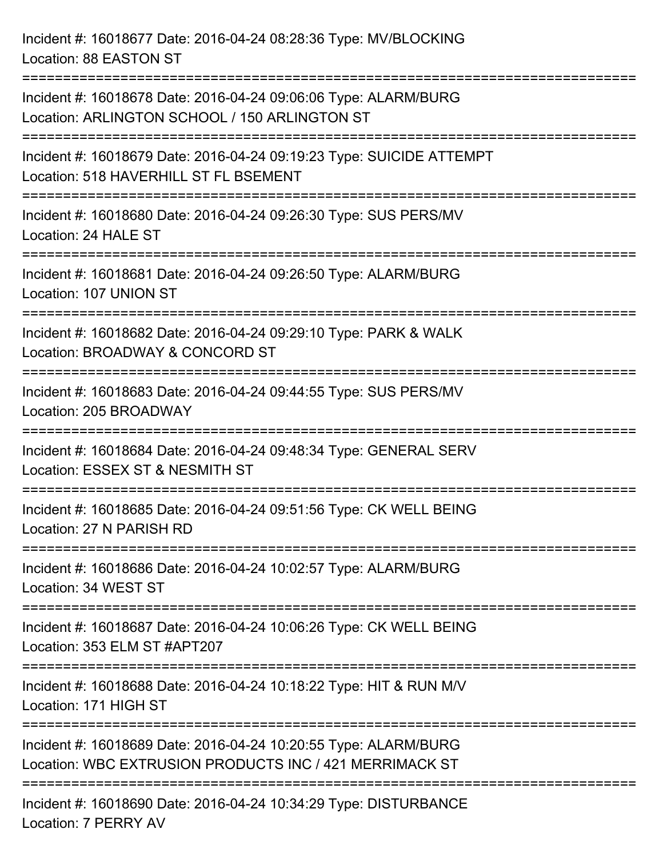Incident #: 16018677 Date: 2016-04-24 08:28:36 Type: MV/BLOCKING Location: 88 EASTON ST =========================================================================== Incident #: 16018678 Date: 2016-04-24 09:06:06 Type: ALARM/BURG Location: ARLINGTON SCHOOL / 150 ARLINGTON ST =========================================================================== Incident #: 16018679 Date: 2016-04-24 09:19:23 Type: SUICIDE ATTEMPT Location: 518 HAVERHILL ST FL BSEMENT =========================================================================== Incident #: 16018680 Date: 2016-04-24 09:26:30 Type: SUS PERS/MV Location: 24 HALE ST =========================================================================== Incident #: 16018681 Date: 2016-04-24 09:26:50 Type: ALARM/BURG Location: 107 UNION ST =========================================================================== Incident #: 16018682 Date: 2016-04-24 09:29:10 Type: PARK & WALK Location: BROADWAY & CONCORD ST =========================================================================== Incident #: 16018683 Date: 2016-04-24 09:44:55 Type: SUS PERS/MV Location: 205 BROADWAY =========================================================================== Incident #: 16018684 Date: 2016-04-24 09:48:34 Type: GENERAL SERV Location: ESSEX ST & NESMITH ST =========================================================================== Incident #: 16018685 Date: 2016-04-24 09:51:56 Type: CK WELL BEING Location: 27 N PARISH RD =========================================================================== Incident #: 16018686 Date: 2016-04-24 10:02:57 Type: ALARM/BURG Location: 34 WEST ST =========================================================================== Incident #: 16018687 Date: 2016-04-24 10:06:26 Type: CK WELL BEING Location: 353 ELM ST #APT207 =========================================================================== Incident #: 16018688 Date: 2016-04-24 10:18:22 Type: HIT & RUN M/V Location: 171 HIGH ST =========================================================================== Incident #: 16018689 Date: 2016-04-24 10:20:55 Type: ALARM/BURG Location: WBC EXTRUSION PRODUCTS INC / 421 MERRIMACK ST =========================================================================== Incident #: 16018690 Date: 2016-04-24 10:34:29 Type: DISTURBANCE Location: 7 PERRY AV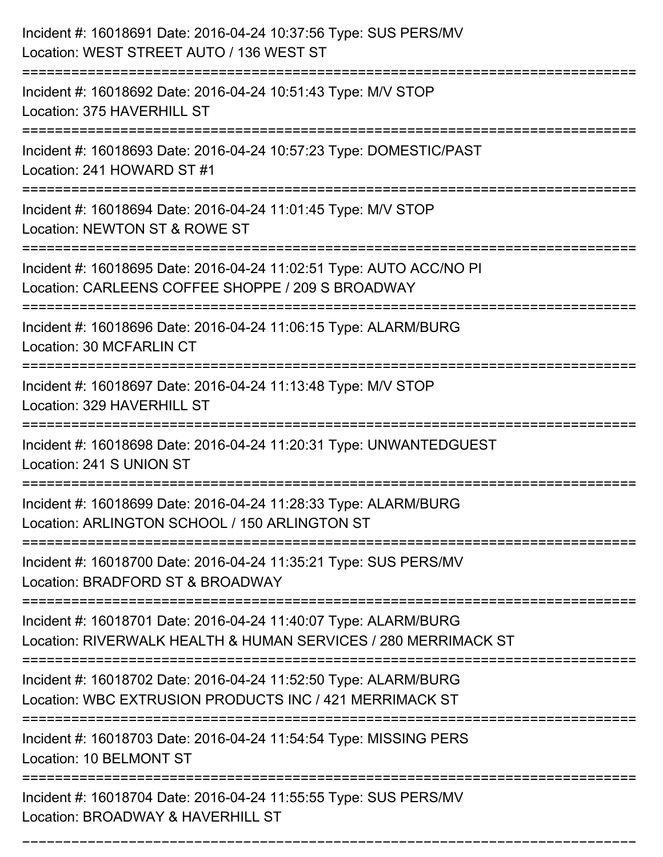| Incident #: 16018691 Date: 2016-04-24 10:37:56 Type: SUS PERS/MV<br>Location: WEST STREET AUTO / 136 WEST ST                                    |
|-------------------------------------------------------------------------------------------------------------------------------------------------|
| :==================================<br>Incident #: 16018692 Date: 2016-04-24 10:51:43 Type: M/V STOP<br>Location: 375 HAVERHILL ST              |
| Incident #: 16018693 Date: 2016-04-24 10:57:23 Type: DOMESTIC/PAST<br>Location: 241 HOWARD ST #1                                                |
| Incident #: 16018694 Date: 2016-04-24 11:01:45 Type: M/V STOP<br>Location: NEWTON ST & ROWE ST                                                  |
| Incident #: 16018695 Date: 2016-04-24 11:02:51 Type: AUTO ACC/NO PI<br>Location: CARLEENS COFFEE SHOPPE / 209 S BROADWAY<br>------------------- |
| Incident #: 16018696 Date: 2016-04-24 11:06:15 Type: ALARM/BURG<br>Location: 30 MCFARLIN CT                                                     |
| Incident #: 16018697 Date: 2016-04-24 11:13:48 Type: M/V STOP<br>Location: 329 HAVERHILL ST<br>=======================                          |
| Incident #: 16018698 Date: 2016-04-24 11:20:31 Type: UNWANTEDGUEST<br>Location: 241 S UNION ST                                                  |
| Incident #: 16018699 Date: 2016-04-24 11:28:33 Type: ALARM/BURG<br>Location: ARLINGTON SCHOOL / 150 ARLINGTON ST                                |
| Incident #: 16018700 Date: 2016-04-24 11:35:21 Type: SUS PERS/MV<br>Location: BRADFORD ST & BROADWAY                                            |
| Incident #: 16018701 Date: 2016-04-24 11:40:07 Type: ALARM/BURG<br>Location: RIVERWALK HEALTH & HUMAN SERVICES / 280 MERRIMACK ST               |
| Incident #: 16018702 Date: 2016-04-24 11:52:50 Type: ALARM/BURG<br>Location: WBC EXTRUSION PRODUCTS INC / 421 MERRIMACK ST                      |
| Incident #: 16018703 Date: 2016-04-24 11:54:54 Type: MISSING PERS<br>Location: 10 BELMONT ST                                                    |
| Incident #: 16018704 Date: 2016-04-24 11:55:55 Type: SUS PERS/MV<br>Location: BROADWAY & HAVERHILL ST                                           |
|                                                                                                                                                 |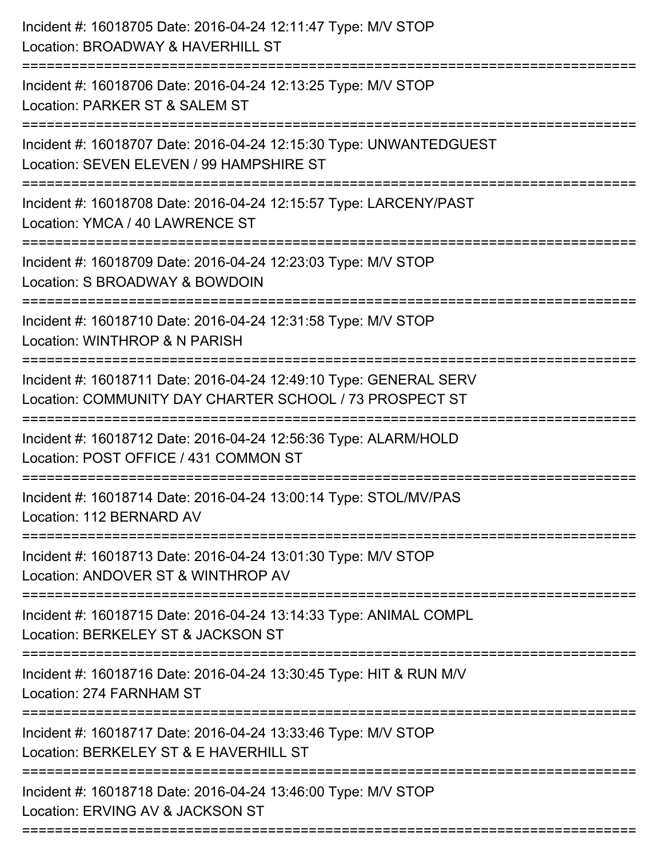| Incident #: 16018705 Date: 2016-04-24 12:11:47 Type: M/V STOP<br>Location: BROADWAY & HAVERHILL ST                                     |
|----------------------------------------------------------------------------------------------------------------------------------------|
| Incident #: 16018706 Date: 2016-04-24 12:13:25 Type: M/V STOP<br>Location: PARKER ST & SALEM ST                                        |
| Incident #: 16018707 Date: 2016-04-24 12:15:30 Type: UNWANTEDGUEST<br>Location: SEVEN ELEVEN / 99 HAMPSHIRE ST                         |
| Incident #: 16018708 Date: 2016-04-24 12:15:57 Type: LARCENY/PAST<br>Location: YMCA / 40 LAWRENCE ST                                   |
| Incident #: 16018709 Date: 2016-04-24 12:23:03 Type: M/V STOP<br>Location: S BROADWAY & BOWDOIN                                        |
| Incident #: 16018710 Date: 2016-04-24 12:31:58 Type: M/V STOP<br>Location: WINTHROP & N PARISH                                         |
| Incident #: 16018711 Date: 2016-04-24 12:49:10 Type: GENERAL SERV<br>Location: COMMUNITY DAY CHARTER SCHOOL / 73 PROSPECT ST           |
| Incident #: 16018712 Date: 2016-04-24 12:56:36 Type: ALARM/HOLD<br>Location: POST OFFICE / 431 COMMON ST                               |
| Incident #: 16018714 Date: 2016-04-24 13:00:14 Type: STOL/MV/PAS<br>Location: 112 BERNARD AV                                           |
| Incident #: 16018713 Date: 2016-04-24 13:01:30 Type: M/V STOP<br>Location: ANDOVER ST & WINTHROP AV                                    |
| Incident #: 16018715 Date: 2016-04-24 13:14:33 Type: ANIMAL COMPL<br>Location: BERKELEY ST & JACKSON ST                                |
| ====================================<br>Incident #: 16018716 Date: 2016-04-24 13:30:45 Type: HIT & RUN M/V<br>Location: 274 FARNHAM ST |
| Incident #: 16018717 Date: 2016-04-24 13:33:46 Type: M/V STOP<br>Location: BERKELEY ST & E HAVERHILL ST                                |
| Incident #: 16018718 Date: 2016-04-24 13:46:00 Type: M/V STOP<br>Location: ERVING AV & JACKSON ST                                      |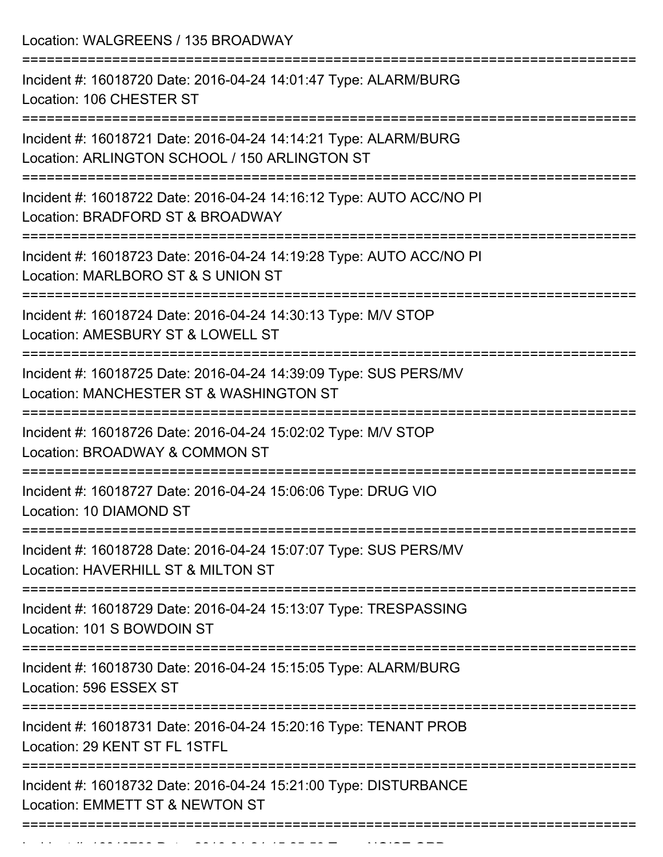Location: WALGREENS / 135 BROADWAY =========================================================================== Incident #: 16018720 Date: 2016-04-24 14:01:47 Type: ALARM/BURG Location: 106 CHESTER ST =========================================================================== Incident #: 16018721 Date: 2016-04-24 14:14:21 Type: ALARM/BURG Location: ARLINGTON SCHOOL / 150 ARLINGTON ST =========================================================================== Incident #: 16018722 Date: 2016-04-24 14:16:12 Type: AUTO ACC/NO PI Location: BRADFORD ST & BROADWAY =========================================================================== Incident #: 16018723 Date: 2016-04-24 14:19:28 Type: AUTO ACC/NO PI Location: MARLBORO ST & S UNION ST =========================================================================== Incident #: 16018724 Date: 2016-04-24 14:30:13 Type: M/V STOP Location: AMESBURY ST & LOWELL ST =========================================================================== Incident #: 16018725 Date: 2016-04-24 14:39:09 Type: SUS PERS/MV Location: MANCHESTER ST & WASHINGTON ST =========================================================================== Incident #: 16018726 Date: 2016-04-24 15:02:02 Type: M/V STOP Location: BROADWAY & COMMON ST =========================================================================== Incident #: 16018727 Date: 2016-04-24 15:06:06 Type: DRUG VIO Location: 10 DIAMOND ST =========================================================================== Incident #: 16018728 Date: 2016-04-24 15:07:07 Type: SUS PERS/MV Location: HAVERHILL ST & MILTON ST =========================================================================== Incident #: 16018729 Date: 2016-04-24 15:13:07 Type: TRESPASSING Location: 101 S BOWDOIN ST =========================================================================== Incident #: 16018730 Date: 2016-04-24 15:15:05 Type: ALARM/BURG Location: 596 ESSEX ST =========================================================================== Incident #: 16018731 Date: 2016-04-24 15:20:16 Type: TENANT PROB Location: 29 KENT ST FL 1STFL =========================================================================== Incident #: 16018732 Date: 2016-04-24 15:21:00 Type: DISTURBANCE Location: EMMETT ST & NEWTON ST ===========================================================================

Incident #: 1601873 Date: 2016 04 24 15:25:59 Type: NOISE ORD.<br>.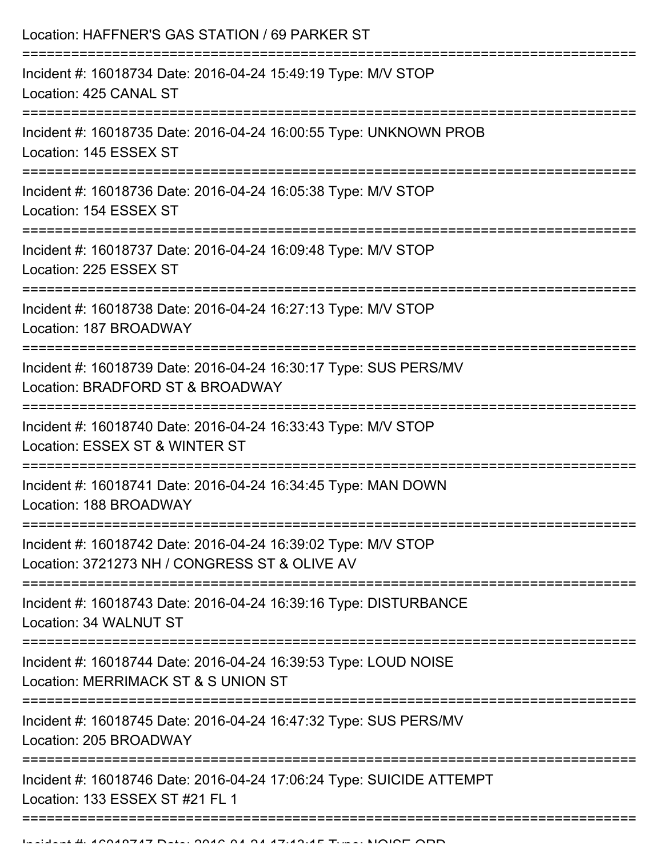| Location: HAFFNER'S GAS STATION / 69 PARKER ST                                                                 |
|----------------------------------------------------------------------------------------------------------------|
| Incident #: 16018734 Date: 2016-04-24 15:49:19 Type: M/V STOP<br>Location: 425 CANAL ST                        |
| Incident #: 16018735 Date: 2016-04-24 16:00:55 Type: UNKNOWN PROB<br>Location: 145 ESSEX ST                    |
| Incident #: 16018736 Date: 2016-04-24 16:05:38 Type: M/V STOP<br>Location: 154 ESSEX ST                        |
| Incident #: 16018737 Date: 2016-04-24 16:09:48 Type: M/V STOP<br>Location: 225 ESSEX ST                        |
| Incident #: 16018738 Date: 2016-04-24 16:27:13 Type: M/V STOP<br>Location: 187 BROADWAY                        |
| Incident #: 16018739 Date: 2016-04-24 16:30:17 Type: SUS PERS/MV<br>Location: BRADFORD ST & BROADWAY           |
| Incident #: 16018740 Date: 2016-04-24 16:33:43 Type: M/V STOP<br>Location: ESSEX ST & WINTER ST                |
| Incident #: 16018741 Date: 2016-04-24 16:34:45 Type: MAN DOWN<br>Location: 188 BROADWAY                        |
| Incident #: 16018742 Date: 2016-04-24 16:39:02 Type: M/V STOP<br>Location: 3721273 NH / CONGRESS ST & OLIVE AV |
| Incident #: 16018743 Date: 2016-04-24 16:39:16 Type: DISTURBANCE<br>Location: 34 WALNUT ST                     |
| Incident #: 16018744 Date: 2016-04-24 16:39:53 Type: LOUD NOISE<br>Location: MERRIMACK ST & S UNION ST         |
| Incident #: 16018745 Date: 2016-04-24 16:47:32 Type: SUS PERS/MV<br>Location: 205 BROADWAY                     |
| Incident #: 16018746 Date: 2016-04-24 17:06:24 Type: SUICIDE ATTEMPT<br>Location: 133 ESSEX ST #21 FL 1        |
|                                                                                                                |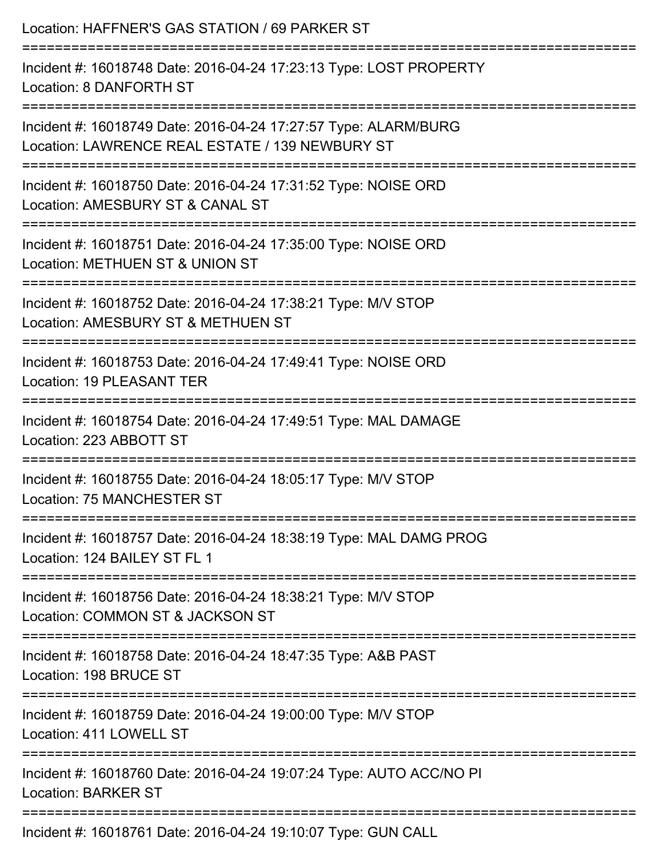| Location: HAFFNER'S GAS STATION / 69 PARKER ST                                                                                  |
|---------------------------------------------------------------------------------------------------------------------------------|
| Incident #: 16018748 Date: 2016-04-24 17:23:13 Type: LOST PROPERTY<br>Location: 8 DANFORTH ST                                   |
| Incident #: 16018749 Date: 2016-04-24 17:27:57 Type: ALARM/BURG<br>Location: LAWRENCE REAL ESTATE / 139 NEWBURY ST              |
| Incident #: 16018750 Date: 2016-04-24 17:31:52 Type: NOISE ORD<br>Location: AMESBURY ST & CANAL ST<br>------------------------- |
| Incident #: 16018751 Date: 2016-04-24 17:35:00 Type: NOISE ORD<br>Location: METHUEN ST & UNION ST                               |
| Incident #: 16018752 Date: 2016-04-24 17:38:21 Type: M/V STOP<br>Location: AMESBURY ST & METHUEN ST                             |
| Incident #: 16018753 Date: 2016-04-24 17:49:41 Type: NOISE ORD<br>Location: 19 PLEASANT TER                                     |
| Incident #: 16018754 Date: 2016-04-24 17:49:51 Type: MAL DAMAGE<br>Location: 223 ABBOTT ST                                      |
| -----------------<br>Incident #: 16018755 Date: 2016-04-24 18:05:17 Type: M/V STOP<br><b>Location: 75 MANCHESTER ST</b>         |
| Incident #: 16018757 Date: 2016-04-24 18:38:19 Type: MAL DAMG PROG<br>Location: 124 BAILEY ST FL 1                              |
| Incident #: 16018756 Date: 2016-04-24 18:38:21 Type: M/V STOP<br>Location: COMMON ST & JACKSON ST                               |
| Incident #: 16018758 Date: 2016-04-24 18:47:35 Type: A&B PAST<br>Location: 198 BRUCE ST                                         |
| Incident #: 16018759 Date: 2016-04-24 19:00:00 Type: M/V STOP<br>Location: 411 LOWELL ST                                        |
| Incident #: 16018760 Date: 2016-04-24 19:07:24 Type: AUTO ACC/NO PI<br><b>Location: BARKER ST</b>                               |
|                                                                                                                                 |

Incident #: 16018761 Date: 2016-04-24 19:10:07 Type: GUN CALL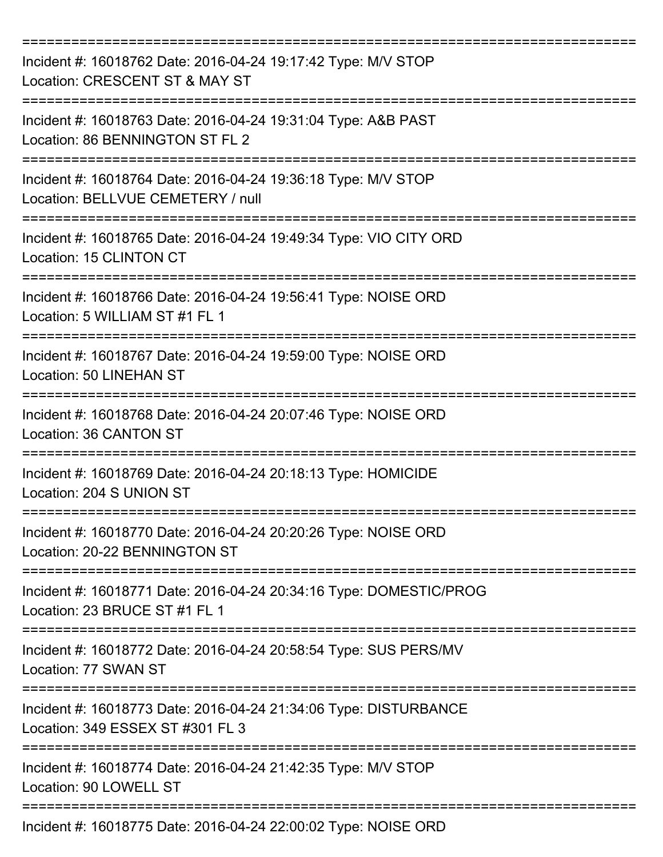| Incident #: 16018762 Date: 2016-04-24 19:17:42 Type: M/V STOP<br>Location: CRESCENT ST & MAY ST           |
|-----------------------------------------------------------------------------------------------------------|
| Incident #: 16018763 Date: 2016-04-24 19:31:04 Type: A&B PAST<br>Location: 86 BENNINGTON ST FL 2          |
| Incident #: 16018764 Date: 2016-04-24 19:36:18 Type: M/V STOP<br>Location: BELLVUE CEMETERY / null        |
| Incident #: 16018765 Date: 2016-04-24 19:49:34 Type: VIO CITY ORD<br>Location: 15 CLINTON CT              |
| Incident #: 16018766 Date: 2016-04-24 19:56:41 Type: NOISE ORD<br>Location: 5 WILLIAM ST #1 FL 1          |
| Incident #: 16018767 Date: 2016-04-24 19:59:00 Type: NOISE ORD<br><b>Location: 50 LINEHAN ST</b>          |
| Incident #: 16018768 Date: 2016-04-24 20:07:46 Type: NOISE ORD<br>Location: 36 CANTON ST                  |
| ============<br>Incident #: 16018769 Date: 2016-04-24 20:18:13 Type: HOMICIDE<br>Location: 204 S UNION ST |
| Incident #: 16018770 Date: 2016-04-24 20:20:26 Type: NOISE ORD<br>Location: 20-22 BENNINGTON ST           |
| Incident #: 16018771 Date: 2016-04-24 20:34:16 Type: DOMESTIC/PROG<br>Location: 23 BRUCE ST #1 FL 1       |
| Incident #: 16018772 Date: 2016-04-24 20:58:54 Type: SUS PERS/MV<br>Location: 77 SWAN ST                  |
| Incident #: 16018773 Date: 2016-04-24 21:34:06 Type: DISTURBANCE<br>Location: 349 ESSEX ST #301 FL 3      |
| Incident #: 16018774 Date: 2016-04-24 21:42:35 Type: M/V STOP<br>Location: 90 LOWELL ST                   |
| Incident #: 16018775 Date: 2016-04-24 22:00:02 Type: NOISE ORD                                            |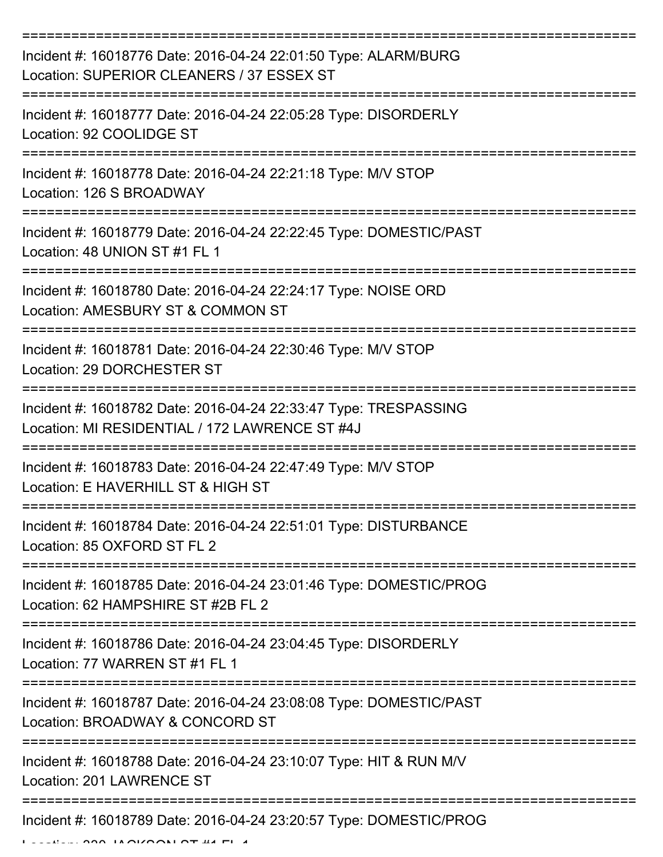| Incident #: 16018776 Date: 2016-04-24 22:01:50 Type: ALARM/BURG<br>Location: SUPERIOR CLEANERS / 37 ESSEX ST       |
|--------------------------------------------------------------------------------------------------------------------|
| Incident #: 16018777 Date: 2016-04-24 22:05:28 Type: DISORDERLY<br>Location: 92 COOLIDGE ST                        |
| Incident #: 16018778 Date: 2016-04-24 22:21:18 Type: M/V STOP<br>Location: 126 S BROADWAY                          |
| Incident #: 16018779 Date: 2016-04-24 22:22:45 Type: DOMESTIC/PAST<br>Location: 48 UNION ST #1 FL 1                |
| Incident #: 16018780 Date: 2016-04-24 22:24:17 Type: NOISE ORD<br>Location: AMESBURY ST & COMMON ST                |
| Incident #: 16018781 Date: 2016-04-24 22:30:46 Type: M/V STOP<br>Location: 29 DORCHESTER ST<br>------------        |
| Incident #: 16018782 Date: 2016-04-24 22:33:47 Type: TRESPASSING<br>Location: MI RESIDENTIAL / 172 LAWRENCE ST #4J |
| Incident #: 16018783 Date: 2016-04-24 22:47:49 Type: M/V STOP<br>Location: E HAVERHILL ST & HIGH ST                |
| Incident #: 16018784 Date: 2016-04-24 22:51:01 Type: DISTURBANCE<br>Location: 85 OXFORD ST FL 2                    |
| Incident #: 16018785 Date: 2016-04-24 23:01:46 Type: DOMESTIC/PROG<br>Location: 62 HAMPSHIRE ST #2B FL 2           |
| Incident #: 16018786 Date: 2016-04-24 23:04:45 Type: DISORDERLY<br>Location: 77 WARREN ST #1 FL 1                  |
| Incident #: 16018787 Date: 2016-04-24 23:08:08 Type: DOMESTIC/PAST<br>Location: BROADWAY & CONCORD ST              |
| Incident #: 16018788 Date: 2016-04-24 23:10:07 Type: HIT & RUN M/V<br>Location: 201 LAWRENCE ST                    |
| Incident #: 16018789 Date: 2016-04-24 23:20:57 Type: DOMESTIC/PROG                                                 |